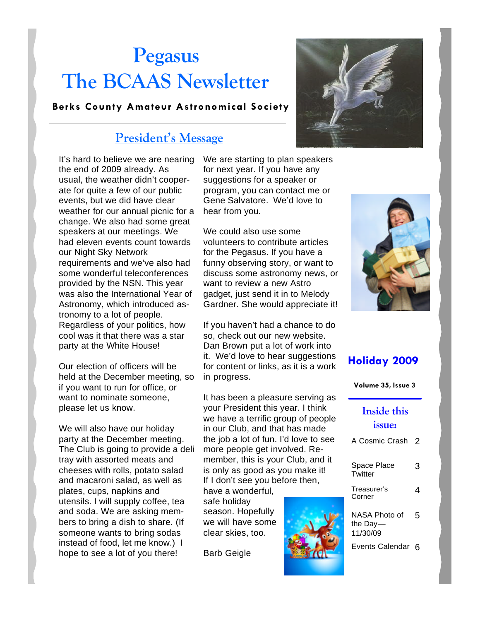# **Pegasus The BCAAS Newsletter**

#### **Berks County Amateur Astronomical Society**

#### **President's Message**

It's hard to believe we are nearing the end of 2009 already. As usual, the weather didn't cooperate for quite a few of our public events, but we did have clear weather for our annual picnic for a change. We also had some great speakers at our meetings. We had eleven events count towards our Night Sky Network requirements and we've also had some wonderful teleconferences provided by the NSN. This year was also the International Year of Astronomy, which introduced astronomy to a lot of people. Regardless of your politics, how cool was it that there was a star party at the White House!

Our election of officers will be held at the December meeting, so if you want to run for office, or want to nominate someone, please let us know.

We will also have our holiday party at the December meeting. The Club is going to provide a deli tray with assorted meats and cheeses with rolls, potato salad and macaroni salad, as well as plates, cups, napkins and utensils. I will supply coffee, tea and soda. We are asking members to bring a dish to share. (If someone wants to bring sodas instead of food, let me know.) I hope to see a lot of you there!

We are starting to plan speakers for next year. If you have any suggestions for a speaker or program, you can contact me or Gene Salvatore. We'd love to hear from you.

We could also use some volunteers to contribute articles for the Pegasus. If you have a funny observing story, or want to discuss some astronomy news, or want to review a new Astro gadget, just send it in to Melody Gardner. She would appreciate it!

If you haven't had a chance to do so, check out our new website. Dan Brown put a lot of work into it. We'd love to hear suggestions for content or links, as it is a work in progress.

It has been a pleasure serving as your President this year. I think we have a terrific group of people in our Club, and that has made the job a lot of fun. I'd love to see more people get involved. Remember, this is your Club, and it is only as good as you make it! If I don't see you before then,

have a wonderful, safe holiday season. Hopefully we will have some clear skies, too.

Barb Geigle







#### **Holiday 2009**

| Volume 35, Issue 3 |  |  |  |
|--------------------|--|--|--|
|--------------------|--|--|--|

#### **Inside this issue:**

| A Cosmic Crash                        | 2 |
|---------------------------------------|---|
| Space Place<br>Twitter                | 3 |
| Treasurer's<br>Corner                 | 4 |
| NASA Photo of<br>the Day-<br>11/30/09 | 5 |
| Events Calendar                       |   |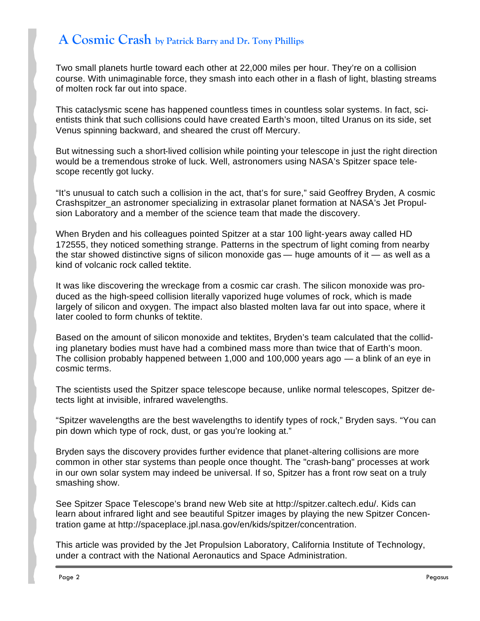### **A Cosmic Crash by Patrick Barry and Dr. Tony Phillips**

Two small planets hurtle toward each other at 22,000 miles per hour. They're on a collision course. With unimaginable force, they smash into each other in a flash of light, blasting streams of molten rock far out into space.

This cataclysmic scene has happened countless times in countless solar systems. In fact, scientists think that such collisions could have created Earth's moon, tilted Uranus on its side, set Venus spinning backward, and sheared the crust off Mercury.

But witnessing such a short-lived collision while pointing your telescope in just the right direction would be a tremendous stroke of luck. Well, astronomers using NASA's Spitzer space telescope recently got lucky.

"It's unusual to catch such a collision in the act, that's for sure," said Geoffrey Bryden, A cosmic Crashspitzer\_an astronomer specializing in extrasolar planet formation at NASA's Jet Propulsion Laboratory and a member of the science team that made the discovery.

When Bryden and his colleagues pointed Spitzer at a star 100 light-years away called HD 172555, they noticed something strange. Patterns in the spectrum of light coming from nearby the star showed distinctive signs of silicon monoxide gas  $-$  huge amounts of it  $-$  as well as a kind of volcanic rock called tektite.

It was like discovering the wreckage from a cosmic car crash. The silicon monoxide was produced as the high-speed collision literally vaporized huge volumes of rock, which is made largely of silicon and oxygen. The impact also blasted molten lava far out into space, where it later cooled to form chunks of tektite.

Based on the amount of silicon monoxide and tektites, Bryden's team calculated that the colliding planetary bodies must have had a combined mass more than twice that of Earth's moon. The collision probably happened between 1,000 and 100,000 years ago — a blink of an eye in cosmic terms.

The scientists used the Spitzer space telescope because, unlike normal telescopes, Spitzer detects light at invisible, infrared wavelengths.

"Spitzer wavelengths are the best wavelengths to identify types of rock," Bryden says. "You can pin down which type of rock, dust, or gas you're looking at."

Bryden says the discovery provides further evidence that planet-altering collisions are more common in other star systems than people once thought. The "crash-bang" processes at work in our own solar system may indeed be universal. If so, Spitzer has a front row seat on a truly smashing show.

See Spitzer Space Telescope's brand new Web site at http://spitzer.caltech.edu/. Kids can learn about infrared light and see beautiful Spitzer images by playing the new Spitzer Concentration game at http://spaceplace.jpl.nasa.gov/en/kids/spitzer/concentration.

This article was provided by the Jet Propulsion Laboratory, California Institute of Technology, under a contract with the National Aeronautics and Space Administration.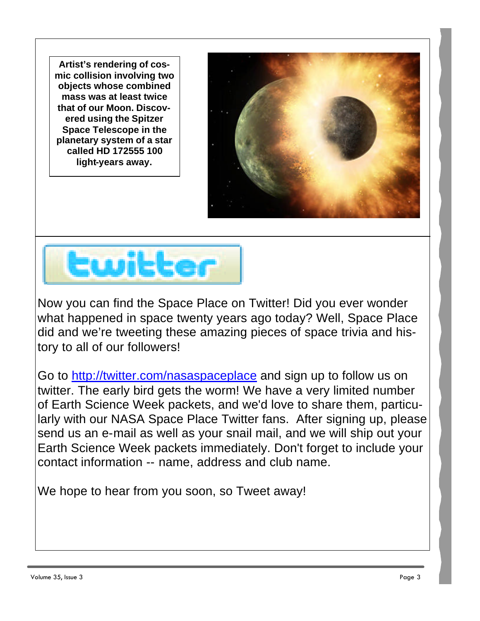**Artist's rendering of cosmic collision involving two objects whose combined mass was at least twice that of our Moon. Discovered using the Spitzer Space Telescope in the planetary system of a star called HD 172555 100 light-years away.**





Now you can find the Space Place on Twitter! Did you ever wonder what happened in space twenty years ago today? Well, Space Place did and we're tweeting these amazing pieces of space trivia and history to all of our followers!

Go to http://twitter.com/nasaspaceplace and sign up to follow us on twitter. The early bird gets the worm! We have a very limited number of Earth Science Week packets, and we'd love to share them, particularly with our NASA Space Place Twitter fans. After signing up, please send us an e-mail as well as your snail mail, and we will ship out your Earth Science Week packets immediately. Don't forget to include your contact information -- name, address and club name.

We hope to hear from you soon, so Tweet away!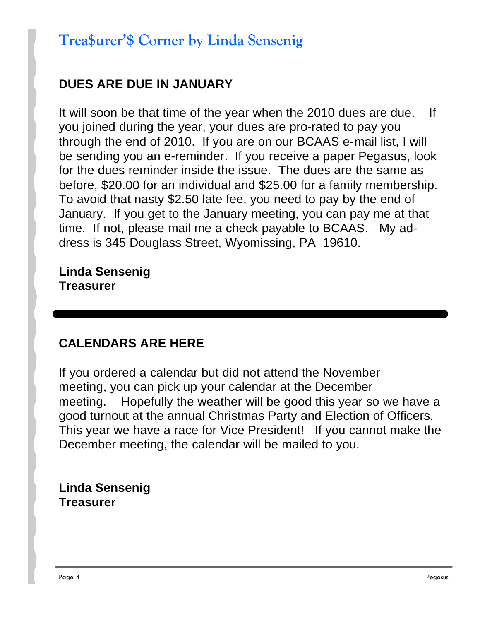## **Trea\$urer'\$ Corner by Linda Sensenig**

### **DUES ARE DUE IN JANUARY**

It will soon be that time of the year when the 2010 dues are due. If you joined during the year, your dues are pro-rated to pay you through the end of 2010. If you are on our BCAAS e-mail list, I will be sending you an e-reminder. If you receive a paper Pegasus, look for the dues reminder inside the issue. The dues are the same as before, \$20.00 for an individual and \$25.00 for a family membership. To avoid that nasty \$2.50 late fee, you need to pay by the end of January. If you get to the January meeting, you can pay me at that time. If not, please mail me a check payable to BCAAS. My address is 345 Douglass Street, Wyomissing, PA 19610.

**Linda Sensenig Treasurer**

### **CALENDARS ARE HERE**

If you ordered a calendar but did not attend the November meeting, you can pick up your calendar at the December meeting. Hopefully the weather will be good this year so we have a good turnout at the annual Christmas Party and Election of Officers. This year we have a race for Vice President! If you cannot make the December meeting, the calendar will be mailed to you.

#### **Linda Sensenig Treasurer**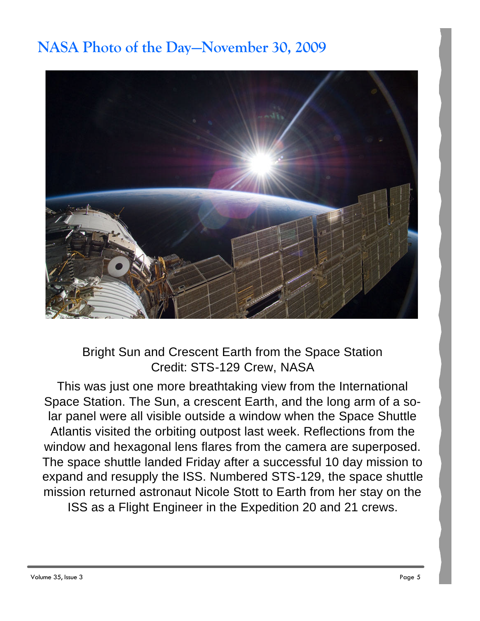## **NASA Photo of the Day—November 30, 2009**



Bright Sun and Crescent Earth from the Space Station Credit: STS-129 Crew, NASA

This was just one more breathtaking view from the International Space Station. The Sun, a crescent Earth, and the long arm of a solar panel were all visible outside a window when the Space Shuttle Atlantis visited the orbiting outpost last week. Reflections from the window and hexagonal lens flares from the camera are superposed. The space shuttle landed Friday after a successful 10 day mission to expand and resupply the ISS. Numbered STS-129, the space shuttle mission returned astronaut Nicole Stott to Earth from her stay on the ISS as a Flight Engineer in the Expedition 20 and 21 crews.